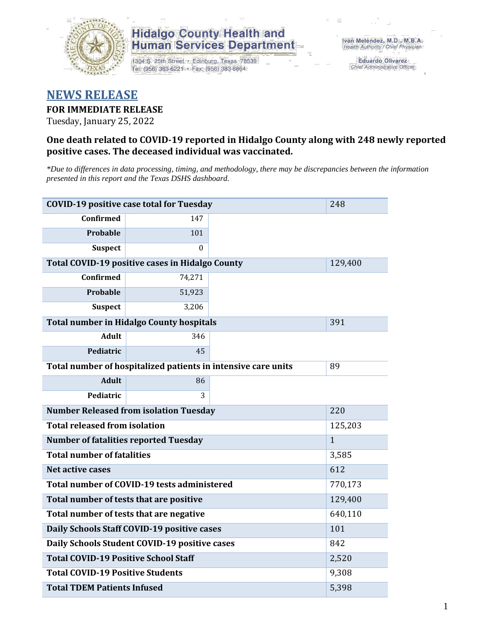

1304 S. 25th Street · Edinburg, Texas 78539 Tel: (956) 383-6221 · Fax: (956) 383-8864

**Eduardo Olivarez** Chief Administrative Officer

### **NEWS RELEASE**

#### **FOR IMMEDIATE RELEASE**

Tuesday, January 25, 2022

#### **One death related to COVID-19 reported in Hidalgo County along with 248 newly reported positive cases. The deceased individual was vaccinated.**

*\*Due to differences in data processing, timing, and methodology, there may be discrepancies between the information presented in this report and the Texas DSHS dashboard.*

| <b>COVID-19 positive case total for Tuesday</b><br>248        |                                                 |     |         |  |  |  |
|---------------------------------------------------------------|-------------------------------------------------|-----|---------|--|--|--|
| <b>Confirmed</b>                                              | 147                                             |     |         |  |  |  |
| <b>Probable</b>                                               | 101                                             |     |         |  |  |  |
| <b>Suspect</b>                                                | 0                                               |     |         |  |  |  |
| Total COVID-19 positive cases in Hidalgo County               | 129,400                                         |     |         |  |  |  |
| <b>Confirmed</b>                                              | 74,271                                          |     |         |  |  |  |
| Probable                                                      | 51,923                                          |     |         |  |  |  |
| <b>Suspect</b>                                                | 3,206                                           |     |         |  |  |  |
|                                                               | <b>Total number in Hidalgo County hospitals</b> |     | 391     |  |  |  |
| <b>Adult</b>                                                  | 346                                             |     |         |  |  |  |
| Pediatric                                                     | 45                                              |     |         |  |  |  |
| Total number of hospitalized patients in intensive care units | 89                                              |     |         |  |  |  |
| <b>Adult</b>                                                  | 86                                              |     |         |  |  |  |
| Pediatric                                                     |                                                 |     |         |  |  |  |
| <b>Number Released from isolation Tuesday</b><br>220          |                                                 |     |         |  |  |  |
| <b>Total released from isolation</b><br>125,203               |                                                 |     |         |  |  |  |
| <b>Number of fatalities reported Tuesday</b><br>$\mathbf{1}$  |                                                 |     |         |  |  |  |
| <b>Total number of fatalities</b><br>3,585                    |                                                 |     |         |  |  |  |
| <b>Net active cases</b>                                       |                                                 |     | 612     |  |  |  |
|                                                               | Total number of COVID-19 tests administered     |     | 770,173 |  |  |  |
| Total number of tests that are positive                       | 129,400                                         |     |         |  |  |  |
| Total number of tests that are negative                       | 640,110                                         |     |         |  |  |  |
| Daily Schools Staff COVID-19 positive cases                   | 101                                             |     |         |  |  |  |
| Daily Schools Student COVID-19 positive cases                 |                                                 | 842 |         |  |  |  |
| <b>Total COVID-19 Positive School Staff</b><br>2,520          |                                                 |     |         |  |  |  |
| <b>Total COVID-19 Positive Students</b><br>9,308              |                                                 |     |         |  |  |  |
| <b>Total TDEM Patients Infused</b>                            | 5,398                                           |     |         |  |  |  |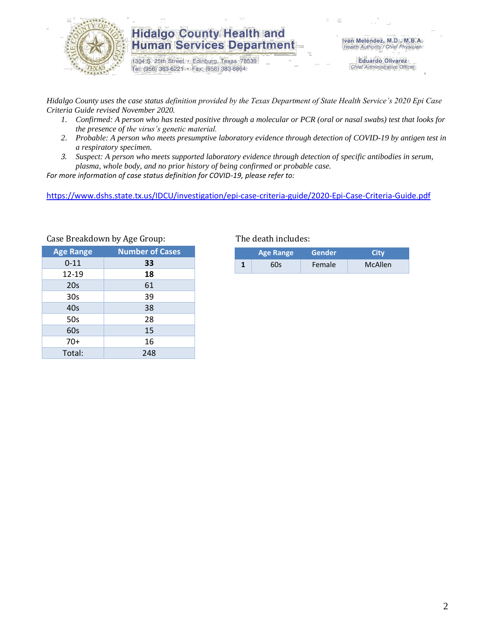

1304 S. 25th Street · Edinburg, Texas 78539 Tel: (956) 383-6221 · Fax: (956) 383-8864

Iván Meléndez, M.D., M.B.A. Health Authority / Chief Physician

> **Eduardo Olivarez** Chief Administrative Officer

*Hidalgo County uses the case status definition provided by the Texas Department of State Health Service's 2020 Epi Case Criteria Guide revised November 2020.*

- *1. Confirmed: A person who has tested positive through a molecular or PCR (oral or nasal swabs) test that looks for the presence of the virus's genetic material.*
- *2. Probable: A person who meets presumptive laboratory evidence through detection of COVID-19 by antigen test in a respiratory specimen.*
- *3. Suspect: A person who meets supported laboratory evidence through detection of specific antibodies in serum, plasma, whole body, and no prior history of being confirmed or probable case.*

*For more information of case status definition for COVID-19, please refer to:*

<https://www.dshs.state.tx.us/IDCU/investigation/epi-case-criteria-guide/2020-Epi-Case-Criteria-Guide.pdf>

| יים שי                 |
|------------------------|
| <b>Number of Cases</b> |
| 33                     |
| 18                     |
| 61                     |
| 39                     |
| 38                     |
| 28                     |
| 15                     |
| 16                     |
| 248                    |
|                        |

Case Breakdown by Age Group: The death includes:

| <b>Age Range</b> |     | Gender | City    |  |  |
|------------------|-----|--------|---------|--|--|
|                  | 60s | Female | McAllen |  |  |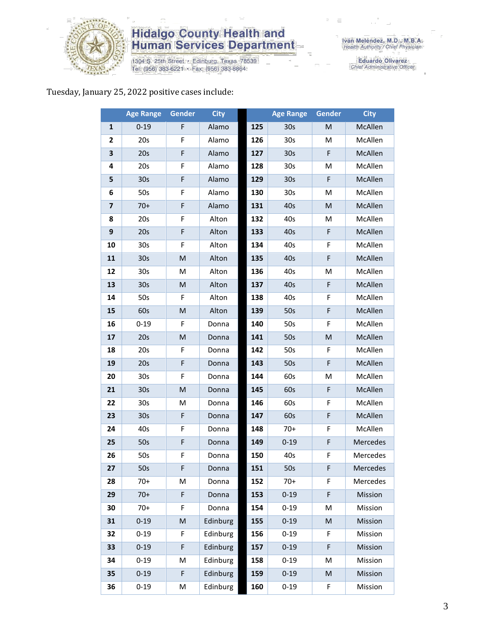

1304 S. 25th Street • Edinburg, Texas 78539<br>Tel: (956) 383-6221 • Fax: (956) 383-8864

Eduardo Olivarez<br>Chief Administrative Officer

#### Tuesday, January 25, 2022 positive cases include:

|                | <b>Age Range</b> | <b>Gender</b>                                                                                              | <b>City</b> |     | <b>Age Range</b> | <b>Gender</b> | <b>City</b> |
|----------------|------------------|------------------------------------------------------------------------------------------------------------|-------------|-----|------------------|---------------|-------------|
| 1              | $0 - 19$         | F                                                                                                          | Alamo       | 125 | 30s              | ${\sf M}$     | McAllen     |
| 2              | 20s              | F                                                                                                          | Alamo       | 126 | 30 <sub>s</sub>  | M             | McAllen     |
| 3              | 20s              | F                                                                                                          | Alamo       | 127 | 30s              | F             | McAllen     |
| 4              | 20s              | F                                                                                                          | Alamo       | 128 | 30 <sub>s</sub>  | M             | McAllen     |
| 5              | 30 <sub>s</sub>  | F                                                                                                          | Alamo       | 129 | 30 <sub>s</sub>  | F             | McAllen     |
| 6              | 50s              | F                                                                                                          | Alamo       | 130 | 30 <sub>s</sub>  | M             | McAllen     |
| $\overline{7}$ | $70+$            | F                                                                                                          | Alamo       | 131 | 40s              | M             | McAllen     |
| 8              | 20s              | F                                                                                                          | Alton       | 132 | 40s              | M             | McAllen     |
| 9              | 20s              | $\mathsf F$                                                                                                | Alton       | 133 | 40s              | F             | McAllen     |
| 10             | 30 <sub>s</sub>  | F                                                                                                          | Alton       | 134 | 40s              | F             | McAllen     |
| 11             | 30 <sub>s</sub>  | ${\sf M}$                                                                                                  | Alton       | 135 | 40s              | F             | McAllen     |
| 12             | 30 <sub>s</sub>  | M                                                                                                          | Alton       | 136 | 40s              | M             | McAllen     |
| 13             | 30 <sub>s</sub>  | ${\sf M}$                                                                                                  | Alton       | 137 | 40s              | F             | McAllen     |
| 14             | 50s              | F                                                                                                          | Alton       | 138 | 40s              | F             | McAllen     |
| 15             | 60s              | ${\sf M}$                                                                                                  | Alton       | 139 | 50s              | F             | McAllen     |
| 16             | $0 - 19$         | F                                                                                                          | Donna       | 140 | 50s              | F             | McAllen     |
| 17             | 20s              | M                                                                                                          | Donna       | 141 | 50s              | M             | McAllen     |
| 18             | 20s              | F                                                                                                          | Donna       | 142 | 50s              | F             | McAllen     |
| 19             | 20s              | F                                                                                                          | Donna       | 143 | 50s              | F             | McAllen     |
| 20             | 30 <sub>s</sub>  | F                                                                                                          | Donna       | 144 | 60s              | M             | McAllen     |
| 21             | 30 <sub>s</sub>  | ${\sf M}$                                                                                                  | Donna       | 145 | 60s              | F             | McAllen     |
| 22             | 30 <sub>s</sub>  | M                                                                                                          | Donna       | 146 | 60s              | F             | McAllen     |
| 23             | 30 <sub>s</sub>  | $\mathsf F$                                                                                                | Donna       | 147 | 60s              | F             | McAllen     |
| 24             | 40s              | F                                                                                                          | Donna       | 148 | $70+$            | F             | McAllen     |
| 25             | 50s              | F                                                                                                          | Donna       | 149 | $0 - 19$         | F             | Mercedes    |
| 26             | 50s              | F                                                                                                          | Donna       | 150 | 40s              | F             | Mercedes    |
| 27             | 50s              | F                                                                                                          | Donna       | 151 | 50s              | F             | Mercedes    |
| 28             | $70+$            | M                                                                                                          | Donna       | 152 | $70+$            | F             | Mercedes    |
| 29             | $70+$            | F                                                                                                          | Donna       | 153 | $0 - 19$         | F             | Mission     |
| 30             | $70+$            | F                                                                                                          | Donna       | 154 | $0 - 19$         | M             | Mission     |
| 31             | $0 - 19$         | $\mathsf{M}% _{T}=\mathsf{M}_{T}\!\left( a,b\right) ,\ \mathsf{M}_{T}=\mathsf{M}_{T}\!\left( a,b\right) ,$ | Edinburg    | 155 | $0 - 19$         | M             | Mission     |
| 32             | $0 - 19$         | F                                                                                                          | Edinburg    | 156 | $0 - 19$         | F             | Mission     |
| 33             | $0 - 19$         | F                                                                                                          | Edinburg    | 157 | $0 - 19$         | F             | Mission     |
| 34             | $0 - 19$         | M                                                                                                          | Edinburg    | 158 | $0 - 19$         | M             | Mission     |
| 35             | $0 - 19$         | $\mathsf F$                                                                                                | Edinburg    | 159 | $0 - 19$         | ${\sf M}$     | Mission     |
| 36             | $0 - 19$         | M                                                                                                          | Edinburg    | 160 | $0 - 19$         | F             | Mission     |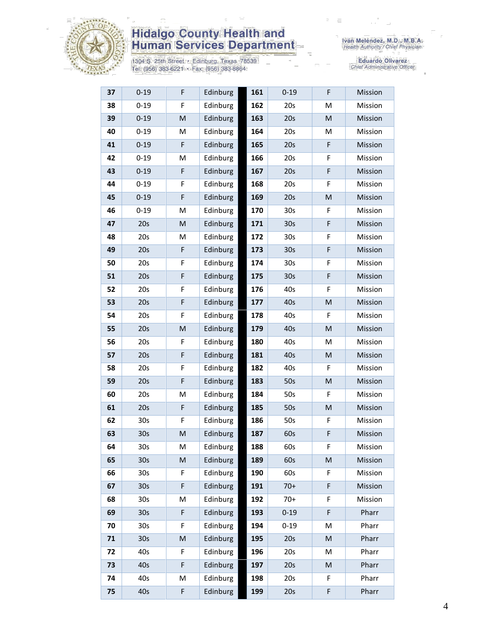

1304 S. 25th Street • Edinburg, Texas 78539<br>Tel: (956) 383-6221 • Fax: (956) 383-8864

Eduardo Olivarez<br>Chief Administrative Officer

| 37 | $0 - 19$        | F           | Edinburg | 161 | $0 - 19$        | F | Mission |
|----|-----------------|-------------|----------|-----|-----------------|---|---------|
| 38 | $0 - 19$        | F           | Edinburg | 162 | 20s             | M | Mission |
| 39 | $0 - 19$        | M           | Edinburg | 163 | 20s             | M | Mission |
| 40 | $0 - 19$        | M           | Edinburg | 164 | 20s             | M | Mission |
| 41 | $0 - 19$        | $\mathsf F$ | Edinburg | 165 | 20s             | F | Mission |
| 42 | $0 - 19$        | M           | Edinburg | 166 | 20s             | F | Mission |
| 43 | $0 - 19$        | $\mathsf F$ | Edinburg | 167 | 20s             | F | Mission |
| 44 | $0 - 19$        | F           | Edinburg | 168 | 20s             | F | Mission |
| 45 | $0 - 19$        | $\mathsf F$ | Edinburg | 169 | 20s             | M | Mission |
| 46 | $0 - 19$        | M           | Edinburg | 170 | 30 <sub>s</sub> | F | Mission |
| 47 | 20s             | ${\sf M}$   | Edinburg | 171 | 30 <sub>s</sub> | F | Mission |
| 48 | 20s             | M           | Edinburg | 172 | 30s             | F | Mission |
| 49 | 20s             | F           | Edinburg | 173 | 30 <sub>s</sub> | F | Mission |
| 50 | 20s             | F           | Edinburg | 174 | 30 <sub>s</sub> | F | Mission |
| 51 | 20s             | F           | Edinburg | 175 | 30 <sub>s</sub> | F | Mission |
| 52 | 20s             | F           | Edinburg | 176 | 40s             | F | Mission |
| 53 | 20s             | $\mathsf F$ | Edinburg | 177 | 40s             | M | Mission |
| 54 | 20s             | F           | Edinburg | 178 | 40s             | F | Mission |
| 55 | 20s             | M           | Edinburg | 179 | 40s             | M | Mission |
| 56 | 20s             | F           | Edinburg | 180 | 40s             | М | Mission |
| 57 | 20s             | F           | Edinburg | 181 | 40s             | M | Mission |
| 58 | 20s             | F           | Edinburg | 182 | 40s             | F | Mission |
| 59 | 20s             | $\mathsf F$ | Edinburg | 183 | 50s             | M | Mission |
| 60 | 20s             | M           | Edinburg | 184 | 50s             | F | Mission |
| 61 | 20s             | F           | Edinburg | 185 | 50s             | M | Mission |
| 62 | 30 <sub>s</sub> | F           | Edinburg | 186 | 50s             | F | Mission |
| 63 | 30 <sub>s</sub> | M           | Edinburg | 187 | 60s             | F | Mission |
| 64 | 30 <sub>s</sub> | M           | Edinburg | 188 | 60s             | F | Mission |
| 65 | 30 <sub>s</sub> | M           | Edinburg | 189 | 60s             | M | Mission |
| 66 | 30 <sub>s</sub> | F           | Edinburg | 190 | 60s             | F | Mission |
| 67 | 30 <sub>s</sub> | F           | Edinburg | 191 | $70+$           | F | Mission |
| 68 | 30s             | M           | Edinburg | 192 | $70+$           | F | Mission |
| 69 | 30 <sub>s</sub> | $\mathsf F$ | Edinburg | 193 | $0 - 19$        | F | Pharr   |
| 70 | 30s             | F           | Edinburg | 194 | $0 - 19$        | M | Pharr   |
| 71 | 30 <sub>s</sub> | ${\sf M}$   | Edinburg | 195 | 20s             | M | Pharr   |
| 72 | 40s             | F           | Edinburg | 196 | 20s             | Μ | Pharr   |
| 73 | 40s             | F           | Edinburg | 197 | 20s             | M | Pharr   |
| 74 | 40s             | M           | Edinburg | 198 | 20s             | F | Pharr   |
| 75 | 40s             | F           | Edinburg | 199 | 20s             | F | Pharr   |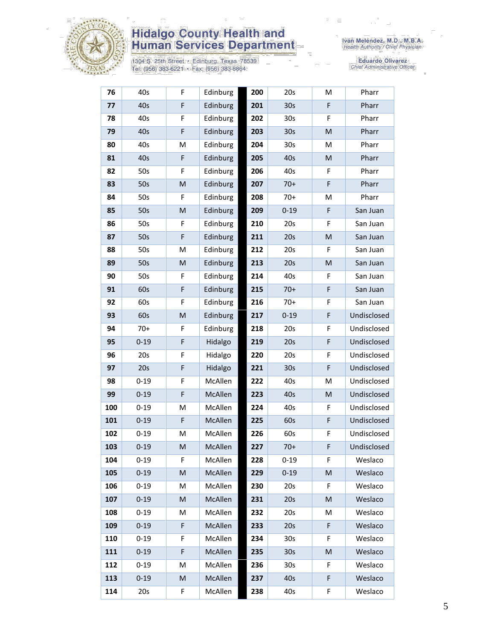

1304 S. 25th Street • Edinburg, Texas 78539<br>Tel: (956) 383-6221 • Fax: (956) 383-8864

Eduardo Olivarez<br>Chief Administrative Officer

| 76  | 40s      | F           | Edinburg | 200 | 20s             | M  | Pharr       |
|-----|----------|-------------|----------|-----|-----------------|----|-------------|
| 77  | 40s      | F           | Edinburg | 201 | 30s             | F  | Pharr       |
| 78  | 40s      | F           | Edinburg | 202 | 30s             | F  | Pharr       |
| 79  | 40s      | F           | Edinburg | 203 | 30 <sub>s</sub> | M  | Pharr       |
| 80  | 40s      | M           | Edinburg | 204 | 30s             | M  | Pharr       |
| 81  | 40s      | $\mathsf F$ | Edinburg | 205 | 40s             | M  | Pharr       |
| 82  | 50s      | F           | Edinburg | 206 | 40s             | F  | Pharr       |
| 83  | 50s      | ${\sf M}$   | Edinburg | 207 | $70+$           | F  | Pharr       |
| 84  | 50s      | F           | Edinburg | 208 | $70+$           | M  | Pharr       |
| 85  | 50s      | M           | Edinburg | 209 | $0 - 19$        | F  | San Juan    |
| 86  | 50s      | F           | Edinburg | 210 | 20s             | F  | San Juan    |
| 87  | 50s      | F           | Edinburg | 211 | 20s             | M  | San Juan    |
| 88  | 50s      | M           | Edinburg | 212 | 20s             | F  | San Juan    |
| 89  | 50s      | M           | Edinburg | 213 | 20s             | M  | San Juan    |
| 90  | 50s      | F           | Edinburg | 214 | 40s             | F  | San Juan    |
| 91  | 60s      | F           | Edinburg | 215 | $70+$           | F  | San Juan    |
| 92  | 60s      | F           | Edinburg | 216 | $70+$           | F  | San Juan    |
| 93  | 60s      | M           | Edinburg | 217 | $0 - 19$        | F  | Undisclosed |
| 94  | $70+$    | F           | Edinburg | 218 | 20s             | F  | Undisclosed |
| 95  | $0 - 19$ | $\mathsf F$ | Hidalgo  | 219 | 20s             | F  | Undisclosed |
| 96  | 20s      | F           | Hidalgo  | 220 | 20s             | F  | Undisclosed |
| 97  | 20s      | F           | Hidalgo  | 221 | 30 <sub>s</sub> | F  | Undisclosed |
| 98  | $0 - 19$ | F           | McAllen  | 222 | 40s             | M  | Undisclosed |
| 99  | $0 - 19$ | F           | McAllen  | 223 | 40s             | M  | Undisclosed |
| 100 | $0 - 19$ | M           | McAllen  | 224 | 40s             | F  | Undisclosed |
| 101 | $0 - 19$ | $\mathsf F$ | McAllen  | 225 | 60s             | F  | Undisclosed |
| 102 | $0 - 19$ | M           | McAllen  | 226 | 60s             | F  | Undisclosed |
| 103 | $0 - 19$ | M           | McAllen  | 227 | $70+$           | F  | Undisclosed |
| 104 | $0 - 19$ | F.          | McAllen  | 228 | $0 - 19$        | F  | Weslaco     |
| 105 | $0 - 19$ | M           | McAllen  | 229 | $0 - 19$        | M  | Weslaco     |
| 106 | $0 - 19$ | M           | McAllen  | 230 | 20s             | F  | Weslaco     |
| 107 | $0 - 19$ | M           | McAllen  | 231 | 20s             | M  | Weslaco     |
| 108 | $0 - 19$ | M           | McAllen  | 232 | 20s             | М  | Weslaco     |
| 109 | $0 - 19$ | F           | McAllen  | 233 | 20s             | F  | Weslaco     |
| 110 | $0 - 19$ | F           | McAllen  | 234 | 30 <sub>s</sub> | F  | Weslaco     |
| 111 | $0 - 19$ | F           | McAllen  | 235 | 30 <sub>s</sub> | M  | Weslaco     |
| 112 | $0 - 19$ | м           | McAllen  | 236 | 30s             | F. | Weslaco     |
| 113 | $0 - 19$ | M           | McAllen  | 237 | 40s             | F  | Weslaco     |
| 114 | 20s      | F           | McAllen  | 238 | 40s             | F  | Weslaco     |